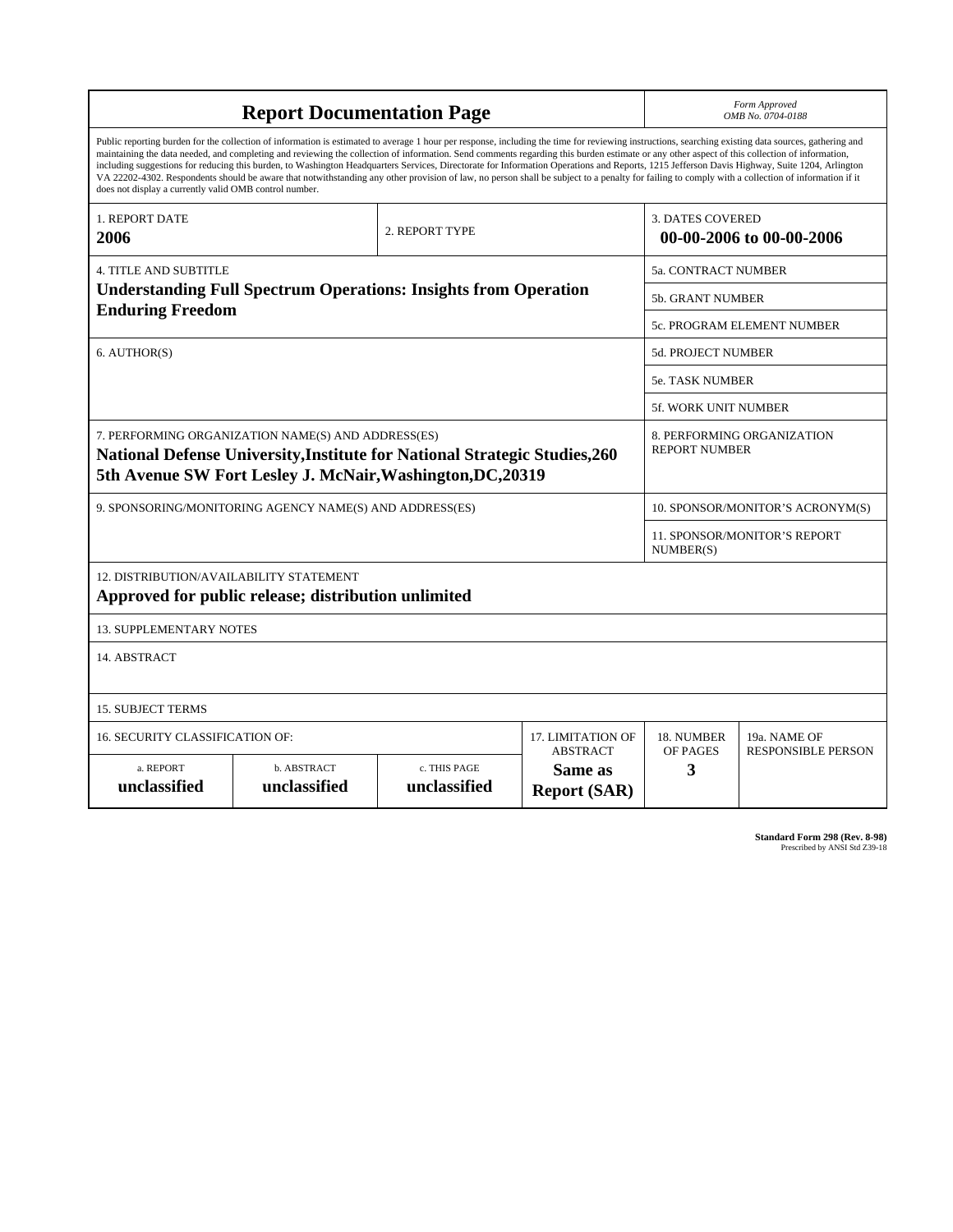| <b>Report Documentation Page</b>                                                                                                                                                                                                                                                                                                                                                                                                                                                                                                                                                                                                                                                                                                                                                                                                                                   |                                                         |                                  |                                                   |                                                     | Form Approved<br>OMB No. 0704-0188                 |  |
|--------------------------------------------------------------------------------------------------------------------------------------------------------------------------------------------------------------------------------------------------------------------------------------------------------------------------------------------------------------------------------------------------------------------------------------------------------------------------------------------------------------------------------------------------------------------------------------------------------------------------------------------------------------------------------------------------------------------------------------------------------------------------------------------------------------------------------------------------------------------|---------------------------------------------------------|----------------------------------|---------------------------------------------------|-----------------------------------------------------|----------------------------------------------------|--|
| Public reporting burden for the collection of information is estimated to average 1 hour per response, including the time for reviewing instructions, searching existing data sources, gathering and<br>maintaining the data needed, and completing and reviewing the collection of information. Send comments regarding this burden estimate or any other aspect of this collection of information,<br>including suggestions for reducing this burden, to Washington Headquarters Services, Directorate for Information Operations and Reports, 1215 Jefferson Davis Highway, Suite 1204, Arlington<br>VA 22202-4302. Respondents should be aware that notwithstanding any other provision of law, no person shall be subject to a penalty for failing to comply with a collection of information if it<br>does not display a currently valid OMB control number. |                                                         |                                  |                                                   |                                                     |                                                    |  |
| <b>1. REPORT DATE</b><br>2006                                                                                                                                                                                                                                                                                                                                                                                                                                                                                                                                                                                                                                                                                                                                                                                                                                      | 2. REPORT TYPE                                          |                                  |                                                   | <b>3. DATES COVERED</b><br>00-00-2006 to 00-00-2006 |                                                    |  |
| <b>4. TITLE AND SUBTITLE</b>                                                                                                                                                                                                                                                                                                                                                                                                                                                                                                                                                                                                                                                                                                                                                                                                                                       |                                                         |                                  |                                                   |                                                     | <b>5a. CONTRACT NUMBER</b>                         |  |
| <b>Understanding Full Spectrum Operations: Insights from Operation</b>                                                                                                                                                                                                                                                                                                                                                                                                                                                                                                                                                                                                                                                                                                                                                                                             |                                                         |                                  |                                                   |                                                     | 5b. GRANT NUMBER                                   |  |
| <b>Enduring Freedom</b>                                                                                                                                                                                                                                                                                                                                                                                                                                                                                                                                                                                                                                                                                                                                                                                                                                            |                                                         |                                  |                                                   | 5c. PROGRAM ELEMENT NUMBER                          |                                                    |  |
| 6. AUTHOR(S)                                                                                                                                                                                                                                                                                                                                                                                                                                                                                                                                                                                                                                                                                                                                                                                                                                                       |                                                         |                                  |                                                   | 5d. PROJECT NUMBER                                  |                                                    |  |
|                                                                                                                                                                                                                                                                                                                                                                                                                                                                                                                                                                                                                                                                                                                                                                                                                                                                    |                                                         |                                  |                                                   | <b>5e. TASK NUMBER</b>                              |                                                    |  |
|                                                                                                                                                                                                                                                                                                                                                                                                                                                                                                                                                                                                                                                                                                                                                                                                                                                                    |                                                         |                                  |                                                   |                                                     | 5f. WORK UNIT NUMBER                               |  |
| 7. PERFORMING ORGANIZATION NAME(S) AND ADDRESS(ES)<br><b>National Defense University, Institute for National Strategic Studies, 260</b><br>5th Avenue SW Fort Lesley J. McNair, Washington, DC, 20319                                                                                                                                                                                                                                                                                                                                                                                                                                                                                                                                                                                                                                                              |                                                         |                                  |                                                   |                                                     | 8. PERFORMING ORGANIZATION<br><b>REPORT NUMBER</b> |  |
|                                                                                                                                                                                                                                                                                                                                                                                                                                                                                                                                                                                                                                                                                                                                                                                                                                                                    | 9. SPONSORING/MONITORING AGENCY NAME(S) AND ADDRESS(ES) | 10. SPONSOR/MONITOR'S ACRONYM(S) |                                                   |                                                     |                                                    |  |
|                                                                                                                                                                                                                                                                                                                                                                                                                                                                                                                                                                                                                                                                                                                                                                                                                                                                    |                                                         |                                  |                                                   |                                                     | 11. SPONSOR/MONITOR'S REPORT<br>NUMBER(S)          |  |
| 12. DISTRIBUTION/AVAILABILITY STATEMENT<br>Approved for public release; distribution unlimited                                                                                                                                                                                                                                                                                                                                                                                                                                                                                                                                                                                                                                                                                                                                                                     |                                                         |                                  |                                                   |                                                     |                                                    |  |
| <b>13. SUPPLEMENTARY NOTES</b>                                                                                                                                                                                                                                                                                                                                                                                                                                                                                                                                                                                                                                                                                                                                                                                                                                     |                                                         |                                  |                                                   |                                                     |                                                    |  |
| 14. ABSTRACT                                                                                                                                                                                                                                                                                                                                                                                                                                                                                                                                                                                                                                                                                                                                                                                                                                                       |                                                         |                                  |                                                   |                                                     |                                                    |  |
| <b>15. SUBJECT TERMS</b>                                                                                                                                                                                                                                                                                                                                                                                                                                                                                                                                                                                                                                                                                                                                                                                                                                           |                                                         |                                  |                                                   |                                                     |                                                    |  |
| 16. SECURITY CLASSIFICATION OF:                                                                                                                                                                                                                                                                                                                                                                                                                                                                                                                                                                                                                                                                                                                                                                                                                                    | 17. LIMITATION OF                                       | 18. NUMBER                       | 19a. NAME OF                                      |                                                     |                                                    |  |
| a. REPORT<br>unclassified                                                                                                                                                                                                                                                                                                                                                                                                                                                                                                                                                                                                                                                                                                                                                                                                                                          | b. ABSTRACT<br>unclassified                             | c. THIS PAGE<br>unclassified     | <b>ABSTRACT</b><br>Same as<br><b>Report (SAR)</b> | OF PAGES<br>3                                       | <b>RESPONSIBLE PERSON</b>                          |  |

| Standard Form 298 (Rev. 8-98) |                               |
|-------------------------------|-------------------------------|
|                               | Prescribed by ANSI Std Z39-18 |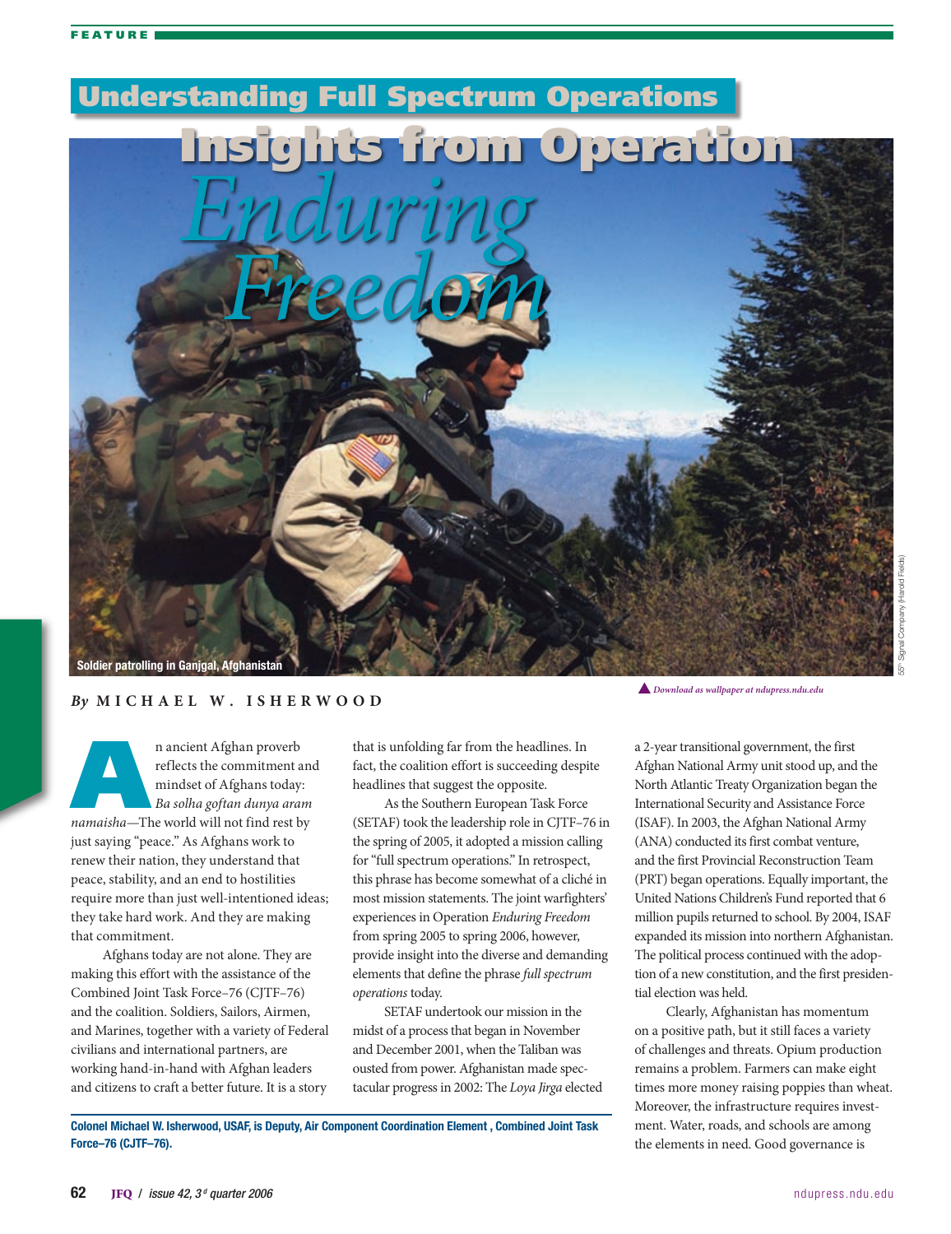

## *By* **M i c h a e l W . I s h e r w o o d**

**n** ancient Afghan proverb<br>
reflects the commitment an<br>
mindset of Afghans today:<br> *Ba solha goftan dunya aram*<br> *namaisha*—The world will not find rest by reflects the commitment and mindset of Afghans today: *Ba solha goftan dunya aram*  just saying "peace." As Afghans work to renew their nation, they understand that peace, stability, and an end to hostilities require more than just well-intentioned ideas; they take hard work. And they are making that commitment.

Afghans today are not alone. They are making this effort with the assistance of the Combined Joint Task Force–76 (CJTF–76) and the coalition. Soldiers, Sailors, Airmen, and Marines, together with a variety of Federal civilians and international partners, are working hand-in-hand with Afghan leaders and citizens to craft a better future. It is a story

that is unfolding far from the headlines. In fact, the coalition effort is succeeding despite headlines that suggest the opposite.

As the Southern European Task Force (SETAF) took the leadership role in CJTF–76 in the spring of 2005, it adopted a mission calling for "full spectrum operations." In retrospect, this phrase has become somewhat of a cliché in most mission statements. The joint warfighters' experiences in Operation *Enduring Freedom* from spring 2005 to spring 2006, however, provide insight into the diverse and demanding elements that define the phrase *full spectrum operations* today.

SETAF undertook our mission in the midst of a process that began in November and December 2001, when the Taliban was ousted from power. Afghanistan made spectacular progress in 2002: The *Loya Jirga* elected

Colonel Michael W. Isherwood, USAF, is Deputy, Air Component Coordination Element , Combined Joint Task Force–76 (CJTF–76).

55th Signal Company (Harold Fields)

a 2-year transitional government, the first Afghan National Army unit stood up, and the North Atlantic Treaty Organization began the International Security and Assistance Force (ISAF). In 2003, the Afghan National Army (ANA) conducted its first combat venture, and the first Provincial Reconstruction Team (PRT) began operations. Equally important, the United Nations Children's Fund reported that 6 million pupils returned to school. By 2004, ISAF expanded its mission into northern Afghanistan. The political process continued with the adoption of a new constitution, and the first presidential election was held.

*Download as wallpaper at ndupress.ndu.edu*

Clearly, Afghanistan has momentum on a positive path, but it still faces a variety of challenges and threats. Opium production remains a problem. Farmers can make eight times more money raising poppies than wheat. Moreover, the infrastructure requires investment. Water, roads, and schools are among the elements in need. Good governance is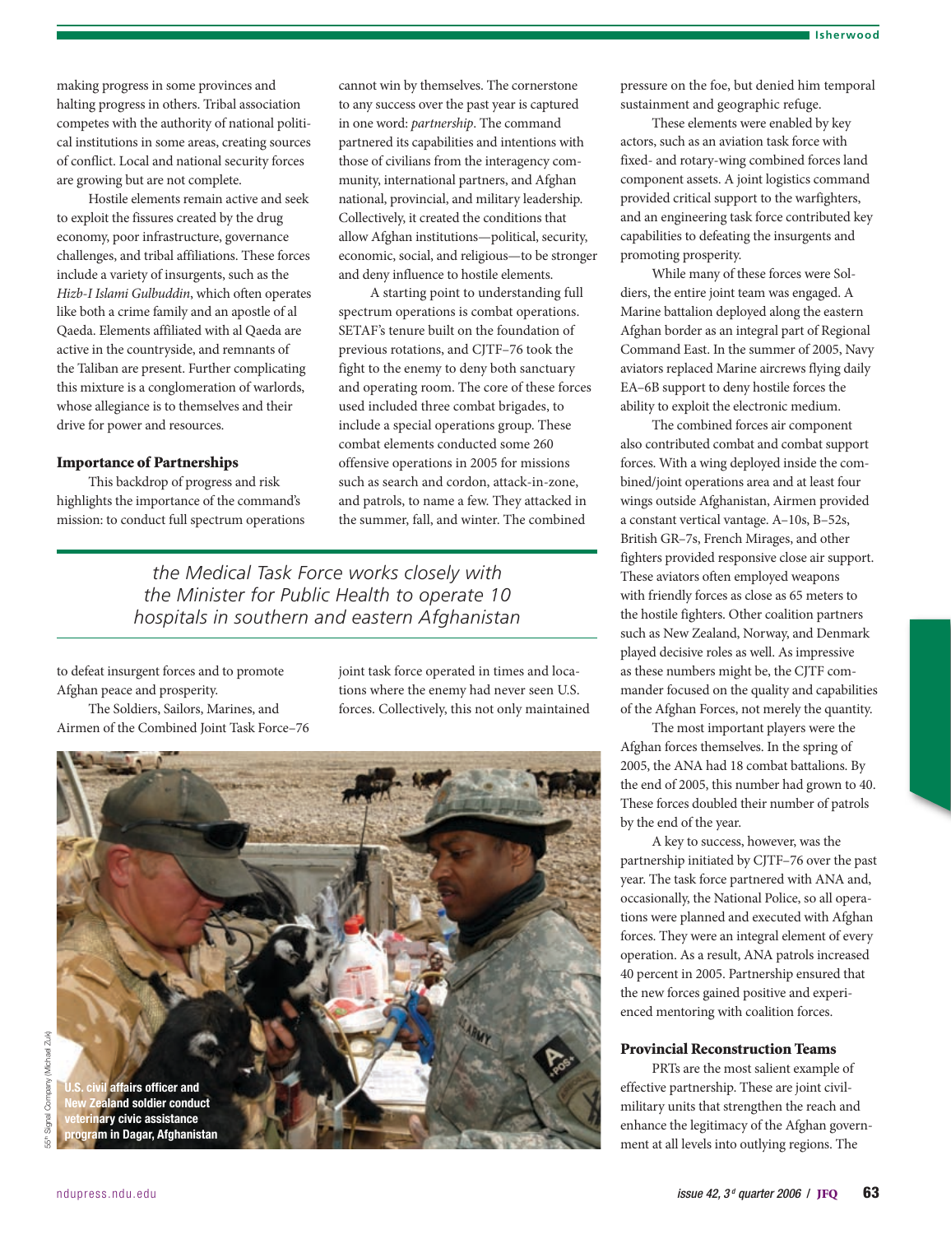making progress in some provinces and halting progress in others. Tribal association competes with the authority of national political institutions in some areas, creating sources of conflict. Local and national security forces are growing but are not complete.

Hostile elements remain active and seek to exploit the fissures created by the drug economy, poor infrastructure, governance challenges, and tribal affiliations. These forces include a variety of insurgents, such as the *Hizb-I Islami Gulbuddin*, which often operates like both a crime family and an apostle of al Qaeda. Elements affiliated with al Qaeda are active in the countryside, and remnants of the Taliban are present. Further complicating this mixture is a conglomeration of warlords, whose allegiance is to themselves and their drive for power and resources.

## Importance of Partnerships

This backdrop of progress and risk highlights the importance of the command's mission: to conduct full spectrum operations cannot win by themselves. The cornerstone to any success over the past year is captured in one word: *partnership*. The command partnered its capabilities and intentions with those of civilians from the interagency community, international partners, and Afghan national, provincial, and military leadership. Collectively, it created the conditions that allow Afghan institutions—political, security, economic, social, and religious—to be stronger and deny influence to hostile elements.

A starting point to understanding full spectrum operations is combat operations. SETAF's tenure built on the foundation of previous rotations, and CJTF–76 took the fight to the enemy to deny both sanctuary and operating room. The core of these forces used included three combat brigades, to include a special operations group. These combat elements conducted some 260 offensive operations in 2005 for missions such as search and cordon, attack-in-zone, and patrols, to name a few. They attacked in the summer, fall, and winter. The combined

*the Medical Task Force works closely with the Minister for Public Health to operate 10 hospitals in southern and eastern Afghanistan*

to defeat insurgent forces and to promote Afghan peace and prosperity.

The Soldiers, Sailors, Marines, and Airmen of the Combined Joint Task Force–76 joint task force operated in times and locations where the enemy had never seen U.S. forces. Collectively, this not only maintained



pressure on the foe, but denied him temporal sustainment and geographic refuge.

These elements were enabled by key actors, such as an aviation task force with fixed- and rotary-wing combined forces land component assets. A joint logistics command provided critical support to the warfighters, and an engineering task force contributed key capabilities to defeating the insurgents and promoting prosperity.

While many of these forces were Soldiers, the entire joint team was engaged. A Marine battalion deployed along the eastern Afghan border as an integral part of Regional Command East. In the summer of 2005, Navy aviators replaced Marine aircrews flying daily EA–6B support to deny hostile forces the ability to exploit the electronic medium.

The combined forces air component also contributed combat and combat support forces. With a wing deployed inside the combined/joint operations area and at least four wings outside Afghanistan, Airmen provided a constant vertical vantage. A–10s, B–52s, British GR–7s, French Mirages, and other fighters provided responsive close air support. These aviators often employed weapons with friendly forces as close as 65 meters to the hostile fighters. Other coalition partners such as New Zealand, Norway, and Denmark played decisive roles as well. As impressive as these numbers might be, the CJTF commander focused on the quality and capabilities of the Afghan Forces, not merely the quantity.

The most important players were the Afghan forces themselves. In the spring of 2005, the ANA had 18 combat battalions. By the end of 2005, this number had grown to 40. These forces doubled their number of patrols by the end of the year.

A key to success, however, was the partnership initiated by CJTF–76 over the past year. The task force partnered with ANA and, occasionally, the National Police, so all operations were planned and executed with Afghan forces. They were an integral element of every operation. As a result, ANA patrols increased 40 percent in 2005. Partnership ensured that the new forces gained positive and experienced mentoring with coalition forces.

## Provincial Reconstruction Teams

PRTs are the most salient example of effective partnership. These are joint civilmilitary units that strengthen the reach and enhance the legitimacy of the Afghan government at all levels into outlying regions. The